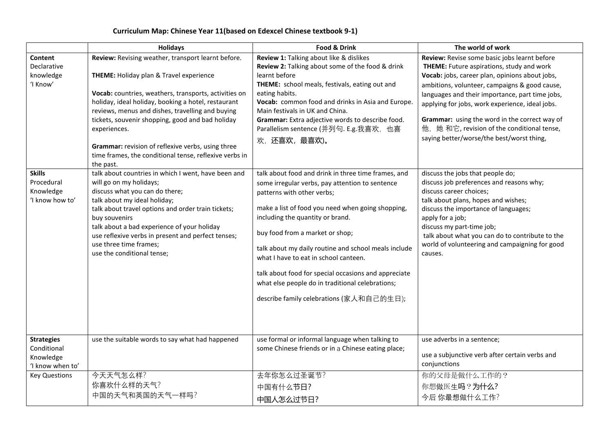## **Curriculum Map: Chinese Year 11(based on Edexcel Chinese textbook 9-1)**

|                                                                                                                | <b>Holidays</b>                                                                                                                                                                                                                                                                                                                                                                                                                                                                                                                                                                                                                                                                                                                                                                                                                                           | Food & Drink                                                                                                                                                                                                                                                                                                                                                                                                                                                                                                                                                                                                                                                                                                                                                                                                                                                                                                       | The world of work                                                                                                                                                                                                                                                                                                                                                                                                                                                                                                                                                                                                                                                                                                                                                                                          |
|----------------------------------------------------------------------------------------------------------------|-----------------------------------------------------------------------------------------------------------------------------------------------------------------------------------------------------------------------------------------------------------------------------------------------------------------------------------------------------------------------------------------------------------------------------------------------------------------------------------------------------------------------------------------------------------------------------------------------------------------------------------------------------------------------------------------------------------------------------------------------------------------------------------------------------------------------------------------------------------|--------------------------------------------------------------------------------------------------------------------------------------------------------------------------------------------------------------------------------------------------------------------------------------------------------------------------------------------------------------------------------------------------------------------------------------------------------------------------------------------------------------------------------------------------------------------------------------------------------------------------------------------------------------------------------------------------------------------------------------------------------------------------------------------------------------------------------------------------------------------------------------------------------------------|------------------------------------------------------------------------------------------------------------------------------------------------------------------------------------------------------------------------------------------------------------------------------------------------------------------------------------------------------------------------------------------------------------------------------------------------------------------------------------------------------------------------------------------------------------------------------------------------------------------------------------------------------------------------------------------------------------------------------------------------------------------------------------------------------------|
| Content<br>Declarative<br>knowledge<br>'I Know'<br><b>Skills</b><br>Procedural<br>Knowledge<br>'I know how to' | Review: Revising weather, transport learnt before.<br>THEME: Holiday plan & Travel experience<br>Vocab: countries, weathers, transports, activities on<br>holiday, ideal holiday, booking a hotel, restaurant<br>reviews, menus and dishes, travelling and buying<br>tickets, souvenir shopping, good and bad holiday<br>experiences.<br>Grammar: revision of reflexive verbs, using three<br>time frames, the conditional tense, reflexive verbs in<br>the past.<br>talk about countries in which I went, have been and<br>will go on my holidays;<br>discuss what you can do there;<br>talk about my ideal holiday;<br>talk about travel options and order train tickets;<br>buy souvenirs<br>talk about a bad experience of your holiday<br>use reflexive verbs in present and perfect tenses;<br>use three time frames:<br>use the conditional tense; | Review 1: Talking about like & dislikes<br>Review 2: Talking about some of the food & drink<br>learnt before<br>THEME: school meals, festivals, eating out and<br>eating habits.<br>Vocab: common food and drinks in Asia and Europe.<br>Main festivals in UK and China.<br>Grammar: Extra adjective words to describe food.<br>Parallelism sentence (并列句. E.g.我喜欢, 也喜<br>欢,还喜欢,最喜欢)。<br>talk about food and drink in three time frames, and<br>some irregular verbs, pay attention to sentence<br>patterns with other verbs;<br>make a list of food you need when going shopping,<br>including the quantity or brand.<br>buy food from a market or shop;<br>talk about my daily routine and school meals include<br>what I have to eat in school canteen.<br>talk about food for special occasions and appreciate<br>what else people do in traditional celebrations;<br>describe family celebrations (家人和自己的生日); | Review: Revise some basic jobs learnt before<br>THEME: Future aspirations, study and work<br>Vocab: jobs, career plan, opinions about jobs,<br>ambitions, volunteer, campaigns & good cause,<br>languages and their importance, part time jobs,<br>applying for jobs, work experience, ideal jobs.<br>Grammar: using the word in the correct way of<br>他, 她 和它, revision of the conditional tense,<br>saying better/worse/the best/worst thing,<br>discuss the jobs that people do;<br>discuss job preferences and reasons why;<br>discuss career choices;<br>talk about plans, hopes and wishes;<br>discuss the importance of languages;<br>apply for a job;<br>discuss my part-time job;<br>talk about what you can do to contribute to the<br>world of volunteering and campaigning for good<br>causes. |
| <b>Strategies</b><br>Conditional<br>Knowledge<br>'I know when to'<br><b>Key Questions</b>                      | use the suitable words to say what had happened<br>今天天气怎么样?                                                                                                                                                                                                                                                                                                                                                                                                                                                                                                                                                                                                                                                                                                                                                                                               | use formal or informal language when talking to<br>some Chinese friends or in a Chinese eating place;<br>去年你怎么过圣诞节?                                                                                                                                                                                                                                                                                                                                                                                                                                                                                                                                                                                                                                                                                                                                                                                                | use adverbs in a sentence;<br>use a subjunctive verb after certain verbs and<br>conjunctions<br>你的父母是做什么工作的?                                                                                                                                                                                                                                                                                                                                                                                                                                                                                                                                                                                                                                                                                               |
|                                                                                                                | 你喜欢什么样的天气?<br>中国的天气和英国的天气一样吗?                                                                                                                                                                                                                                                                                                                                                                                                                                                                                                                                                                                                                                                                                                                                                                                                                             | 中国有什么节日?<br>中国人怎么过节日?                                                                                                                                                                                                                                                                                                                                                                                                                                                                                                                                                                                                                                                                                                                                                                                                                                                                                              | 你想做医生吗?为什么?<br>今后你最想做什么工作?                                                                                                                                                                                                                                                                                                                                                                                                                                                                                                                                                                                                                                                                                                                                                                                 |